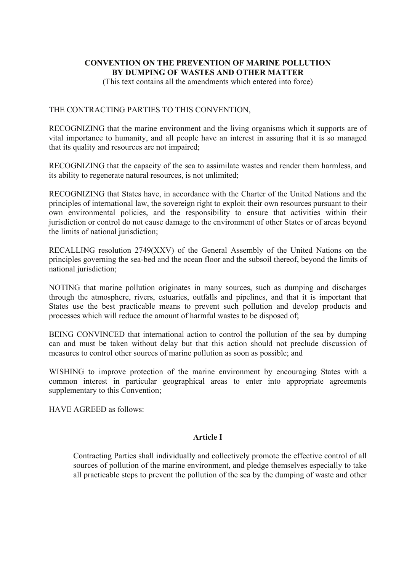# **CONVENTION ON THE PREVENTION OF MARINE POLLUTION BY DUMPING OF WASTES AND OTHER MATTER**

(This text contains all the amendments which entered into force)

### THE CONTRACTING PARTIES TO THIS CONVENTION,

RECOGNIZING that the marine environment and the living organisms which it supports are of vital importance to humanity, and all people have an interest in assuring that it is so managed that its quality and resources are not impaired;

RECOGNIZING that the capacity of the sea to assimilate wastes and render them harmless, and its ability to regenerate natural resources, is not unlimited;

RECOGNIZING that States have, in accordance with the Charter of the United Nations and the principles of international law, the sovereign right to exploit their own resources pursuant to their own environmental policies, and the responsibility to ensure that activities within their jurisdiction or control do not cause damage to the environment of other States or of areas beyond the limits of national jurisdiction;

RECALLING resolution 2749(XXV) of the General Assembly of the United Nations on the principles governing the sea-bed and the ocean floor and the subsoil thereof, beyond the limits of national jurisdiction;

NOTING that marine pollution originates in many sources, such as dumping and discharges through the atmosphere, rivers, estuaries, outfalls and pipelines, and that it is important that States use the best practicable means to prevent such pollution and develop products and processes which will reduce the amount of harmful wastes to be disposed of;

BEING CONVINCED that international action to control the pollution of the sea by dumping can and must be taken without delay but that this action should not preclude discussion of measures to control other sources of marine pollution as soon as possible; and

WISHING to improve protection of the marine environment by encouraging States with a common interest in particular geographical areas to enter into appropriate agreements supplementary to this Convention;

HAVE AGREED as follows:

# **Article I**

Contracting Parties shall individually and collectively promote the effective control of all sources of pollution of the marine environment, and pledge themselves especially to take all practicable steps to prevent the pollution of the sea by the dumping of waste and other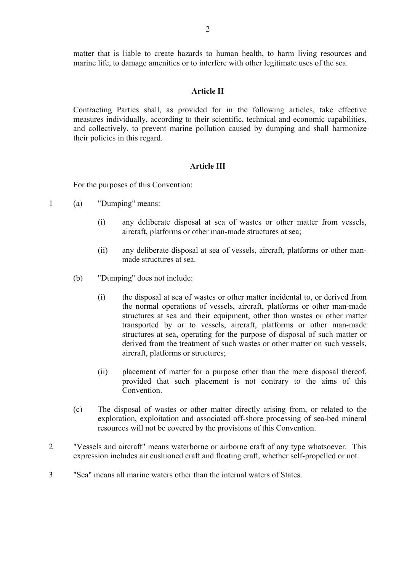matter that is liable to create hazards to human health, to harm living resources and marine life, to damage amenities or to interfere with other legitimate uses of the sea.

#### **Article II**

Contracting Parties shall, as provided for in the following articles, take effective measures individually, according to their scientific, technical and economic capabilities, and collectively, to prevent marine pollution caused by dumping and shall harmonize their policies in this regard.

### **Article III**

For the purposes of this Convention:

- 1 (a) "Dumping" means:
	- (i) any deliberate disposal at sea of wastes or other matter from vessels, aircraft, platforms or other man-made structures at sea;
	- (ii) any deliberate disposal at sea of vessels, aircraft, platforms or other manmade structures at sea.
	- (b) "Dumping" does not include:
		- (i) the disposal at sea of wastes or other matter incidental to, or derived from the normal operations of vessels, aircraft, platforms or other man-made structures at sea and their equipment, other than wastes or other matter transported by or to vessels, aircraft, platforms or other man-made structures at sea, operating for the purpose of disposal of such matter or derived from the treatment of such wastes or other matter on such vessels, aircraft, platforms or structures;
		- (ii) placement of matter for a purpose other than the mere disposal thereof, provided that such placement is not contrary to the aims of this **Convention**
	- (c) The disposal of wastes or other matter directly arising from, or related to the exploration, exploitation and associated off-shore processing of sea-bed mineral resources will not be covered by the provisions of this Convention.
- 2 "Vessels and aircraft" means waterborne or airborne craft of any type whatsoever. This expression includes air cushioned craft and floating craft, whether self-propelled or not.
- 3 "Sea" means all marine waters other than the internal waters of States.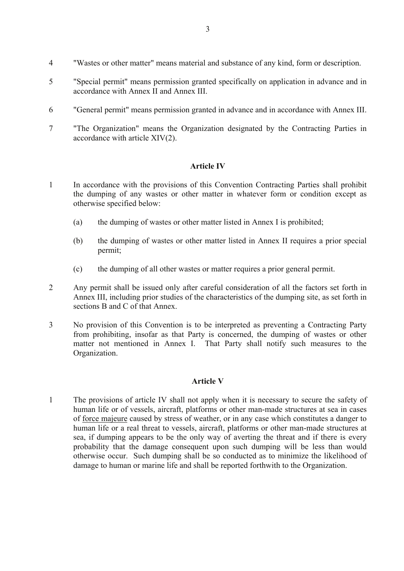- 4 "Wastes or other matter" means material and substance of any kind, form or description.
- 5 "Special permit" means permission granted specifically on application in advance and in accordance with Annex II and Annex III.
- 6 "General permit" means permission granted in advance and in accordance with Annex III.
- 7 "The Organization" means the Organization designated by the Contracting Parties in accordance with article XIV(2).

### **Article IV**

- 1 In accordance with the provisions of this Convention Contracting Parties shall prohibit the dumping of any wastes or other matter in whatever form or condition except as otherwise specified below:
	- (a) the dumping of wastes or other matter listed in Annex I is prohibited;
	- (b) the dumping of wastes or other matter listed in Annex II requires a prior special permit;
	- (c) the dumping of all other wastes or matter requires a prior general permit.
- 2 Any permit shall be issued only after careful consideration of all the factors set forth in Annex III, including prior studies of the characteristics of the dumping site, as set forth in sections B and C of that Annex.
- 3 No provision of this Convention is to be interpreted as preventing a Contracting Party from prohibiting, insofar as that Party is concerned, the dumping of wastes or other matter not mentioned in Annex I. That Party shall notify such measures to the Organization.

### **Article V**

1 The provisions of article IV shall not apply when it is necessary to secure the safety of human life or of vessels, aircraft, platforms or other man-made structures at sea in cases of force majeure caused by stress of weather, or in any case which constitutes a danger to human life or a real threat to vessels, aircraft, platforms or other man-made structures at sea, if dumping appears to be the only way of averting the threat and if there is every probability that the damage consequent upon such dumping will be less than would otherwise occur. Such dumping shall be so conducted as to minimize the likelihood of damage to human or marine life and shall be reported forthwith to the Organization.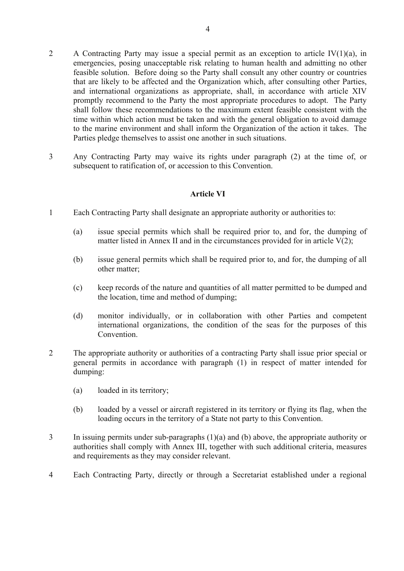- 2 A Contracting Party may issue a special permit as an exception to article IV $(1)(a)$ , in emergencies, posing unacceptable risk relating to human health and admitting no other feasible solution. Before doing so the Party shall consult any other country or countries that are likely to be affected and the Organization which, after consulting other Parties, and international organizations as appropriate, shall, in accordance with article XIV promptly recommend to the Party the most appropriate procedures to adopt. The Party shall follow these recommendations to the maximum extent feasible consistent with the time within which action must be taken and with the general obligation to avoid damage to the marine environment and shall inform the Organization of the action it takes. The Parties pledge themselves to assist one another in such situations.
- 3 Any Contracting Party may waive its rights under paragraph (2) at the time of, or subsequent to ratification of, or accession to this Convention.

### **Article VI**

- 1 Each Contracting Party shall designate an appropriate authority or authorities to:
	- (a) issue special permits which shall be required prior to, and for, the dumping of matter listed in Annex II and in the circumstances provided for in article  $V(2)$ ;
	- (b) issue general permits which shall be required prior to, and for, the dumping of all other matter;
	- (c) keep records of the nature and quantities of all matter permitted to be dumped and the location, time and method of dumping;
	- (d) monitor individually, or in collaboration with other Parties and competent international organizations, the condition of the seas for the purposes of this Convention.
- 2 The appropriate authority or authorities of a contracting Party shall issue prior special or general permits in accordance with paragraph (1) in respect of matter intended for dumping:
	- (a) loaded in its territory;
	- (b) loaded by a vessel or aircraft registered in its territory or flying its flag, when the loading occurs in the territory of a State not party to this Convention.
- 3 In issuing permits under sub-paragraphs (1)(a) and (b) above, the appropriate authority or authorities shall comply with Annex III, together with such additional criteria, measures and requirements as they may consider relevant.
- 4 Each Contracting Party, directly or through a Secretariat established under a regional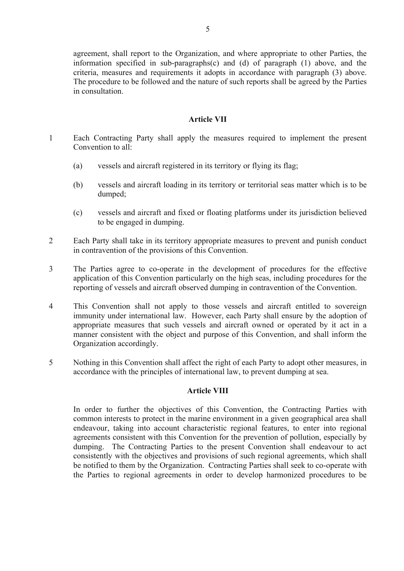agreement, shall report to the Organization, and where appropriate to other Parties, the information specified in sub-paragraphs(c) and (d) of paragraph (1) above, and the criteria, measures and requirements it adopts in accordance with paragraph (3) above. The procedure to be followed and the nature of such reports shall be agreed by the Parties in consultation.

### **Article VII**

- 1 Each Contracting Party shall apply the measures required to implement the present Convention to all:
	- (a) vessels and aircraft registered in its territory or flying its flag;
	- (b) vessels and aircraft loading in its territory or territorial seas matter which is to be dumped;
	- (c) vessels and aircraft and fixed or floating platforms under its jurisdiction believed to be engaged in dumping.
- 2 Each Party shall take in its territory appropriate measures to prevent and punish conduct in contravention of the provisions of this Convention.
- 3 The Parties agree to co-operate in the development of procedures for the effective application of this Convention particularly on the high seas, including procedures for the reporting of vessels and aircraft observed dumping in contravention of the Convention.
- 4 This Convention shall not apply to those vessels and aircraft entitled to sovereign immunity under international law. However, each Party shall ensure by the adoption of appropriate measures that such vessels and aircraft owned or operated by it act in a manner consistent with the object and purpose of this Convention, and shall inform the Organization accordingly.
- 5 Nothing in this Convention shall affect the right of each Party to adopt other measures, in accordance with the principles of international law, to prevent dumping at sea.

### **Article VIII**

In order to further the objectives of this Convention, the Contracting Parties with common interests to protect in the marine environment in a given geographical area shall endeavour, taking into account characteristic regional features, to enter into regional agreements consistent with this Convention for the prevention of pollution, especially by dumping. The Contracting Parties to the present Convention shall endeavour to act consistently with the objectives and provisions of such regional agreements, which shall be notified to them by the Organization. Contracting Parties shall seek to co-operate with the Parties to regional agreements in order to develop harmonized procedures to be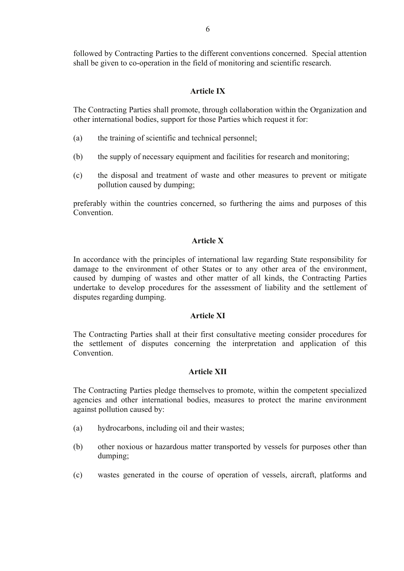followed by Contracting Parties to the different conventions concerned. Special attention shall be given to co-operation in the field of monitoring and scientific research.

## **Article IX**

The Contracting Parties shall promote, through collaboration within the Organization and other international bodies, support for those Parties which request it for:

- (a) the training of scientific and technical personnel;
- (b) the supply of necessary equipment and facilities for research and monitoring;
- (c) the disposal and treatment of waste and other measures to prevent or mitigate pollution caused by dumping;

preferably within the countries concerned, so furthering the aims and purposes of this **Convention** 

### **Article X**

In accordance with the principles of international law regarding State responsibility for damage to the environment of other States or to any other area of the environment, caused by dumping of wastes and other matter of all kinds, the Contracting Parties undertake to develop procedures for the assessment of liability and the settlement of disputes regarding dumping.

### **Article XI**

The Contracting Parties shall at their first consultative meeting consider procedures for the settlement of disputes concerning the interpretation and application of this Convention.

# **Article XII**

The Contracting Parties pledge themselves to promote, within the competent specialized agencies and other international bodies, measures to protect the marine environment against pollution caused by:

- (a) hydrocarbons, including oil and their wastes;
- (b) other noxious or hazardous matter transported by vessels for purposes other than dumping;
- (c) wastes generated in the course of operation of vessels, aircraft, platforms and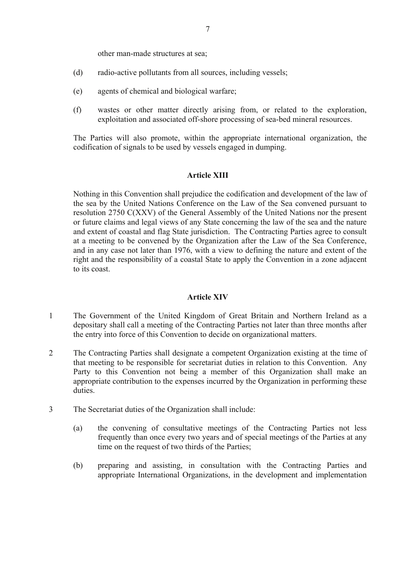other man-made structures at sea;

- (d) radio-active pollutants from all sources, including vessels;
- (e) agents of chemical and biological warfare;
- (f) wastes or other matter directly arising from, or related to the exploration, exploitation and associated off-shore processing of sea-bed mineral resources.

The Parties will also promote, within the appropriate international organization, the codification of signals to be used by vessels engaged in dumping.

#### **Article XIII**

Nothing in this Convention shall prejudice the codification and development of the law of the sea by the United Nations Conference on the Law of the Sea convened pursuant to resolution 2750 C(XXV) of the General Assembly of the United Nations nor the present or future claims and legal views of any State concerning the law of the sea and the nature and extent of coastal and flag State jurisdiction. The Contracting Parties agree to consult at a meeting to be convened by the Organization after the Law of the Sea Conference, and in any case not later than 1976, with a view to defining the nature and extent of the right and the responsibility of a coastal State to apply the Convention in a zone adjacent to its coast.

### **Article XIV**

- 1 The Government of the United Kingdom of Great Britain and Northern Ireland as a depositary shall call a meeting of the Contracting Parties not later than three months after the entry into force of this Convention to decide on organizational matters.
- 2 The Contracting Parties shall designate a competent Organization existing at the time of that meeting to be responsible for secretariat duties in relation to this Convention. Any Party to this Convention not being a member of this Organization shall make an appropriate contribution to the expenses incurred by the Organization in performing these duties.
- 3 The Secretariat duties of the Organization shall include:
	- (a) the convening of consultative meetings of the Contracting Parties not less frequently than once every two years and of special meetings of the Parties at any time on the request of two thirds of the Parties;
	- (b) preparing and assisting, in consultation with the Contracting Parties and appropriate International Organizations, in the development and implementation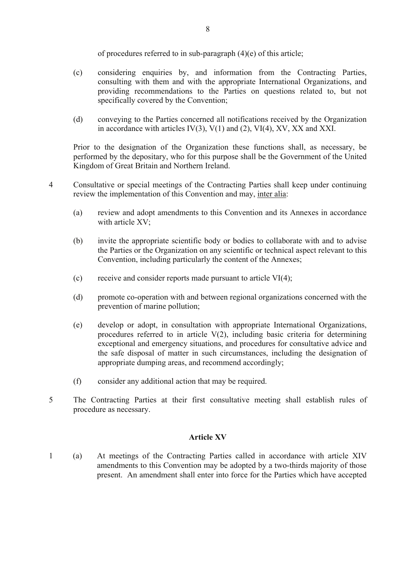of procedures referred to in sub-paragraph (4)(e) of this article;

- (c) considering enquiries by, and information from the Contracting Parties, consulting with them and with the appropriate International Organizations, and providing recommendations to the Parties on questions related to, but not specifically covered by the Convention;
- (d) conveying to the Parties concerned all notifications received by the Organization in accordance with articles  $IV(3)$ ,  $V(1)$  and  $(2)$ ,  $VI(4)$ ,  $XV$ ,  $XX$  and  $XXI$ .

Prior to the designation of the Organization these functions shall, as necessary, be performed by the depositary, who for this purpose shall be the Government of the United Kingdom of Great Britain and Northern Ireland.

- 4 Consultative or special meetings of the Contracting Parties shall keep under continuing review the implementation of this Convention and may, inter alia:
	- (a) review and adopt amendments to this Convention and its Annexes in accordance with article XV;
	- (b) invite the appropriate scientific body or bodies to collaborate with and to advise the Parties or the Organization on any scientific or technical aspect relevant to this Convention, including particularly the content of the Annexes;
	- (c) receive and consider reports made pursuant to article  $VI(4)$ ;
	- (d) promote co-operation with and between regional organizations concerned with the prevention of marine pollution;
	- (e) develop or adopt, in consultation with appropriate International Organizations, procedures referred to in article V(2), including basic criteria for determining exceptional and emergency situations, and procedures for consultative advice and the safe disposal of matter in such circumstances, including the designation of appropriate dumping areas, and recommend accordingly;
	- (f) consider any additional action that may be required.
- 5 The Contracting Parties at their first consultative meeting shall establish rules of procedure as necessary.

### **Article XV**

1 (a) At meetings of the Contracting Parties called in accordance with article XIV amendments to this Convention may be adopted by a two-thirds majority of those present. An amendment shall enter into force for the Parties which have accepted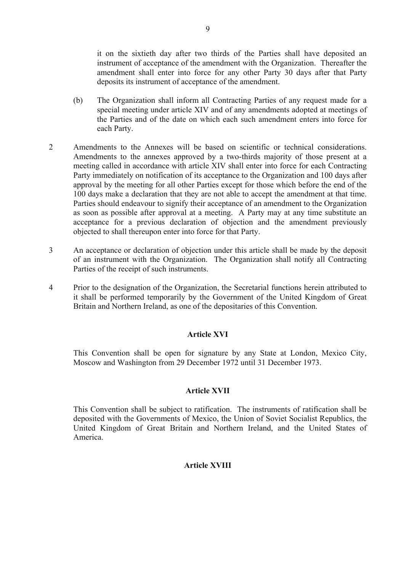it on the sixtieth day after two thirds of the Parties shall have deposited an instrument of acceptance of the amendment with the Organization. Thereafter the amendment shall enter into force for any other Party 30 days after that Party deposits its instrument of acceptance of the amendment.

- (b) The Organization shall inform all Contracting Parties of any request made for a special meeting under article XIV and of any amendments adopted at meetings of the Parties and of the date on which each such amendment enters into force for each Party.
- 2 Amendments to the Annexes will be based on scientific or technical considerations. Amendments to the annexes approved by a two-thirds majority of those present at a meeting called in accordance with article XIV shall enter into force for each Contracting Party immediately on notification of its acceptance to the Organization and 100 days after approval by the meeting for all other Parties except for those which before the end of the 100 days make a declaration that they are not able to accept the amendment at that time. Parties should endeavour to signify their acceptance of an amendment to the Organization as soon as possible after approval at a meeting. A Party may at any time substitute an acceptance for a previous declaration of objection and the amendment previously objected to shall thereupon enter into force for that Party.
- 3 An acceptance or declaration of objection under this article shall be made by the deposit of an instrument with the Organization. The Organization shall notify all Contracting Parties of the receipt of such instruments.
- 4 Prior to the designation of the Organization, the Secretarial functions herein attributed to it shall be performed temporarily by the Government of the United Kingdom of Great Britain and Northern Ireland, as one of the depositaries of this Convention.

# **Article XVI**

This Convention shall be open for signature by any State at London, Mexico City, Moscow and Washington from 29 December 1972 until 31 December 1973.

### **Article XVII**

This Convention shall be subject to ratification. The instruments of ratification shall be deposited with the Governments of Mexico, the Union of Soviet Socialist Republics, the United Kingdom of Great Britain and Northern Ireland, and the United States of America.

# **Article XVIII**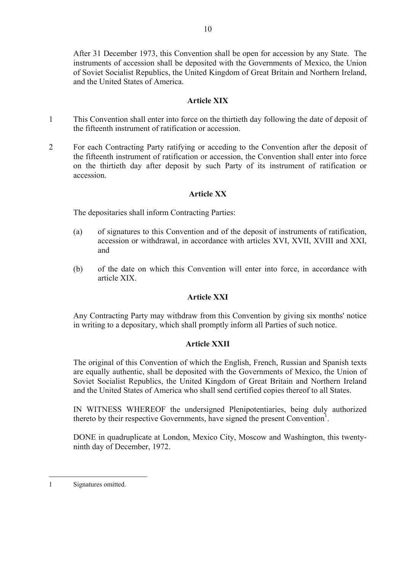After 31 December 1973, this Convention shall be open for accession by any State. The instruments of accession shall be deposited with the Governments of Mexico, the Union of Soviet Socialist Republics, the United Kingdom of Great Britain and Northern Ireland, and the United States of America.

# **Article XIX**

- 1 This Convention shall enter into force on the thirtieth day following the date of deposit of the fifteenth instrument of ratification or accession.
- 2 For each Contracting Party ratifying or acceding to the Convention after the deposit of the fifteenth instrument of ratification or accession, the Convention shall enter into force on the thirtieth day after deposit by such Party of its instrument of ratification or accession.

### **Article XX**

The depositaries shall inform Contracting Parties:

- (a) of signatures to this Convention and of the deposit of instruments of ratification, accession or withdrawal, in accordance with articles XVI, XVII, XVIII and XXI, and
- (b) of the date on which this Convention will enter into force, in accordance with article XIX.

### **Article XXI**

Any Contracting Party may withdraw from this Convention by giving six months' notice in writing to a depositary, which shall promptly inform all Parties of such notice.

### **Article XXII**

The original of this Convention of which the English, French, Russian and Spanish texts are equally authentic, shall be deposited with the Governments of Mexico, the Union of Soviet Socialist Republics, the United Kingdom of Great Britain and Northern Ireland and the United States of America who shall send certified copies thereof to all States.

IN WITNESS WHEREOF the undersigned Plenipotentiaries, being duly authorized thereto by their respective Governments, have signed the present Convention<sup>1</sup>.

DONE in quadruplicate at London, Mexico City, Moscow and Washington, this twentyninth day of December, 1972.

 $\overline{a}$ 1 Signatures omitted.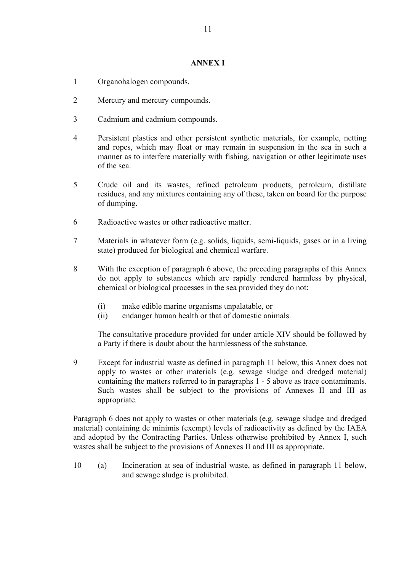#### **ANNEX I**

- 1 Organohalogen compounds.
- 2 Mercury and mercury compounds.
- 3 Cadmium and cadmium compounds.
- 4 Persistent plastics and other persistent synthetic materials, for example, netting and ropes, which may float or may remain in suspension in the sea in such a manner as to interfere materially with fishing, navigation or other legitimate uses of the sea.
- 5 Crude oil and its wastes, refined petroleum products, petroleum, distillate residues, and any mixtures containing any of these, taken on board for the purpose of dumping.
- 6 Radioactive wastes or other radioactive matter.
- 7 Materials in whatever form (e.g. solids, liquids, semi-liquids, gases or in a living state) produced for biological and chemical warfare.
- 8 With the exception of paragraph 6 above, the preceding paragraphs of this Annex do not apply to substances which are rapidly rendered harmless by physical, chemical or biological processes in the sea provided they do not:
	- (i) make edible marine organisms unpalatable, or
	- (ii) endanger human health or that of domestic animals.

The consultative procedure provided for under article XIV should be followed by a Party if there is doubt about the harmlessness of the substance.

9 Except for industrial waste as defined in paragraph 11 below, this Annex does not apply to wastes or other materials (e.g. sewage sludge and dredged material) containing the matters referred to in paragraphs 1 - 5 above as trace contaminants. Such wastes shall be subject to the provisions of Annexes II and III as appropriate.

Paragraph 6 does not apply to wastes or other materials (e.g. sewage sludge and dredged material) containing de minimis (exempt) levels of radioactivity as defined by the IAEA and adopted by the Contracting Parties. Unless otherwise prohibited by Annex I, such wastes shall be subject to the provisions of Annexes II and III as appropriate.

10 (a) Incineration at sea of industrial waste, as defined in paragraph 11 below, and sewage sludge is prohibited.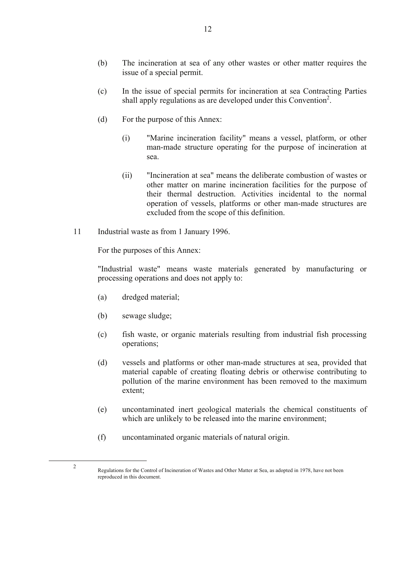- (b) The incineration at sea of any other wastes or other matter requires the issue of a special permit.
- (c) In the issue of special permits for incineration at sea Contracting Parties shall apply regulations as are developed under this Convention<sup>2</sup>.
- (d) For the purpose of this Annex:
	- (i) "Marine incineration facility" means a vessel, platform, or other man-made structure operating for the purpose of incineration at sea.
	- (ii) "Incineration at sea" means the deliberate combustion of wastes or other matter on marine incineration facilities for the purpose of their thermal destruction. Activities incidental to the normal operation of vessels, platforms or other man-made structures are excluded from the scope of this definition.
- 11 Industrial waste as from 1 January 1996.

For the purposes of this Annex:

"Industrial waste" means waste materials generated by manufacturing or processing operations and does not apply to:

- (a) dredged material;
- (b) sewage sludge;

 $\overline{a}$ 

 $\mathfrak{Z}$ 

- (c) fish waste, or organic materials resulting from industrial fish processing operations;
- (d) vessels and platforms or other man-made structures at sea, provided that material capable of creating floating debris or otherwise contributing to pollution of the marine environment has been removed to the maximum extent;
- (e) uncontaminated inert geological materials the chemical constituents of which are unlikely to be released into the marine environment;
- (f) uncontaminated organic materials of natural origin.
- Regulations for the Control of Incineration of Wastes and Other Matter at Sea, as adopted in 1978, have not been reproduced in this document.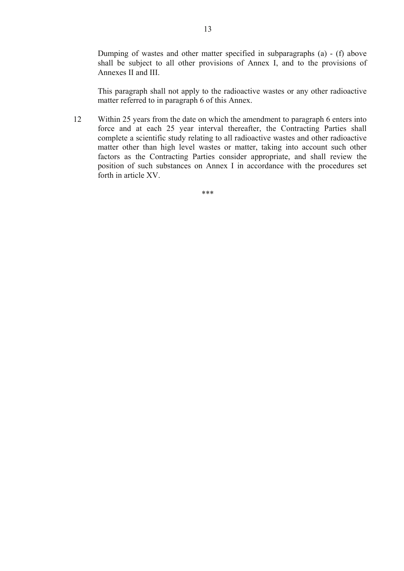Dumping of wastes and other matter specified in subparagraphs (a) - (f) above shall be subject to all other provisions of Annex I, and to the provisions of Annexes II and III.

This paragraph shall not apply to the radioactive wastes or any other radioactive matter referred to in paragraph 6 of this Annex.

12 Within 25 years from the date on which the amendment to paragraph 6 enters into force and at each 25 year interval thereafter, the Contracting Parties shall complete a scientific study relating to all radioactive wastes and other radioactive matter other than high level wastes or matter, taking into account such other factors as the Contracting Parties consider appropriate, and shall review the position of such substances on Annex I in accordance with the procedures set forth in article XV.

\*\*\*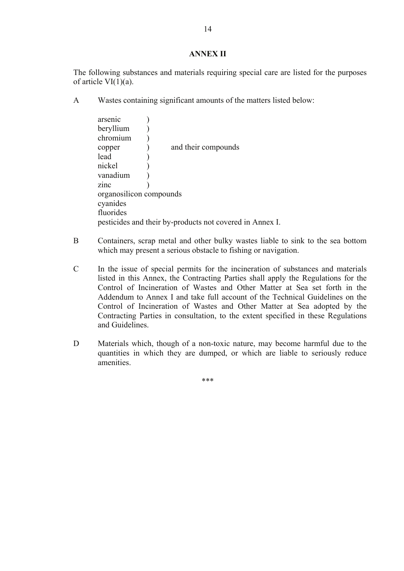#### **ANNEX II**

The following substances and materials requiring special care are listed for the purposes of article  $VI(1)(a)$ .

A Wastes containing significant amounts of the matters listed below:

| arsenic                                                  |                     |
|----------------------------------------------------------|---------------------|
| beryllium                                                |                     |
| chromium                                                 |                     |
| copper                                                   | and their compounds |
| lead                                                     |                     |
| nickel                                                   |                     |
| vanadium                                                 |                     |
| zinc                                                     |                     |
| organosilicon compounds                                  |                     |
| cyanides                                                 |                     |
| fluorides                                                |                     |
| pesticides and their by-products not covered in Annex I. |                     |

- B Containers, scrap metal and other bulky wastes liable to sink to the sea bottom which may present a serious obstacle to fishing or navigation.
- C In the issue of special permits for the incineration of substances and materials listed in this Annex, the Contracting Parties shall apply the Regulations for the Control of Incineration of Wastes and Other Matter at Sea set forth in the Addendum to Annex I and take full account of the Technical Guidelines on the Control of Incineration of Wastes and Other Matter at Sea adopted by the Contracting Parties in consultation, to the extent specified in these Regulations and Guidelines.
- D Materials which, though of a non-toxic nature, may become harmful due to the quantities in which they are dumped, or which are liable to seriously reduce amenities.

\*\*\*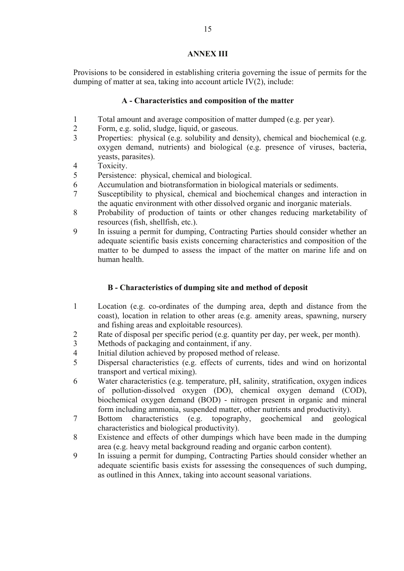## **ANNEX III**

Provisions to be considered in establishing criteria governing the issue of permits for the dumping of matter at sea, taking into account article IV(2), include:

# **A - Characteristics and composition of the matter**

- 1 Total amount and average composition of matter dumped (e.g. per year).
- 2 Form, e.g. solid, sludge, liquid, or gaseous.<br>3 Properties: physical (e g solubility and de
- Properties: physical (e.g. solubility and density), chemical and biochemical (e.g. oxygen demand, nutrients) and biological (e.g. presence of viruses, bacteria, yeasts, parasites).
- 4 Toxicity.<br>5 Persistend
- Persistence: physical, chemical and biological.
- 6 Accumulation and biotransformation in biological materials or sediments.<br>
5 Susceptibility to physical, chemical and biochemical changes and intera
- Susceptibility to physical, chemical and biochemical changes and interaction in the aquatic environment with other dissolved organic and inorganic materials.
- 8 Probability of production of taints or other changes reducing marketability of resources (fish, shellfish, etc.).
- 9 In issuing a permit for dumping, Contracting Parties should consider whether an adequate scientific basis exists concerning characteristics and composition of the matter to be dumped to assess the impact of the matter on marine life and on human health.

# **B - Characteristics of dumping site and method of deposit**

- 1 Location (e.g. co-ordinates of the dumping area, depth and distance from the coast), location in relation to other areas (e.g. amenity areas, spawning, nursery and fishing areas and exploitable resources).
- 2 Rate of disposal per specific period (e.g. quantity per day, per week, per month).
- 3 Methods of packaging and containment, if any.
- 4 Initial dilution achieved by proposed method of release.
- 5 Dispersal characteristics (e.g. effects of currents, tides and wind on horizontal transport and vertical mixing).
- 6 Water characteristics (e.g. temperature, pH, salinity, stratification, oxygen indices of pollution-dissolved oxygen (DO), chemical oxygen demand (COD), biochemical oxygen demand (BOD) - nitrogen present in organic and mineral form including ammonia, suspended matter, other nutrients and productivity).
- 7 Bottom characteristics (e.g. topography, geochemical and geological characteristics and biological productivity).
- 8 Existence and effects of other dumpings which have been made in the dumping area (e.g. heavy metal background reading and organic carbon content).
- 9 In issuing a permit for dumping, Contracting Parties should consider whether an adequate scientific basis exists for assessing the consequences of such dumping, as outlined in this Annex, taking into account seasonal variations.